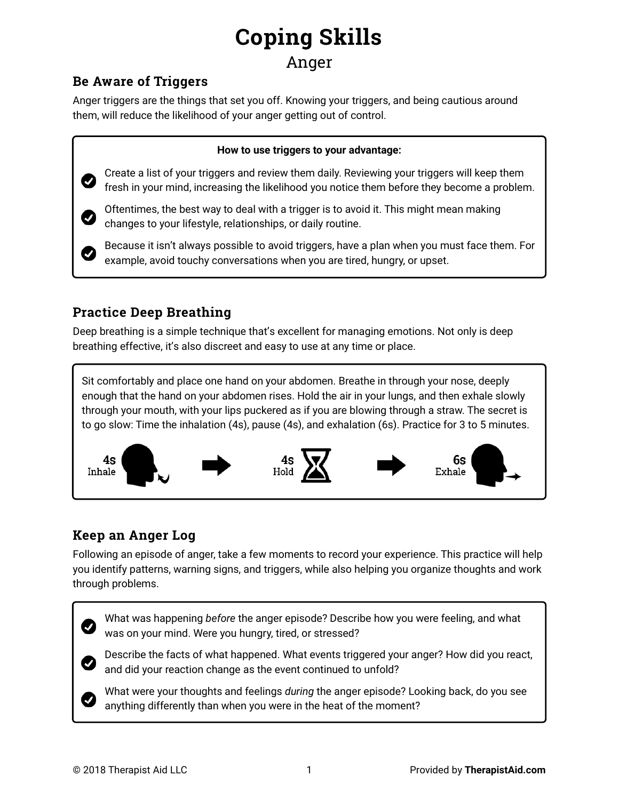# **Coping Skills**

### Anger

### **Be Aware of Triggers**

Anger triggers are the things that set you off. Knowing your triggers, and being cautious around them, will reduce the likelihood of your anger getting out of control.

#### **How to use triggers to your advantage:**

Create a list of your triggers and review them daily. Reviewing your triggers will keep them fresh in your mind, increasing the likelihood you notice them before they become a problem.

Oftentimes, the best way to deal with a trigger is to avoid it. This might mean making changes to your lifestyle, relationships, or daily routine.

Because it isn't always possible to avoid triggers, have a plan when you must face them. For example, avoid touchy conversations when you are tired, hungry, or upset.

### **Practice Deep Breathing**

Ø

Deep breathing is a simple technique that's excellent for managing emotions. Not only is deep breathing effective, it's also discreet and easy to use at any time or place.

Sit comfortably and place one hand on your abdomen. Breathe in through your nose, deeply enough that the hand on your abdomen rises. Hold the air in your lungs, and then exhale slowly through your mouth, with your lips puckered as if you are blowing through a straw. The secret is to go slow: Time the inhalation (4s), pause (4s), and exhalation (6s). Practice for 3 to 5 minutes.



### **Keep an Anger Log**

Following an episode of anger, take a few moments to record your experience. This practice will help you identify patterns, warning signs, and triggers, while also helping you organize thoughts and work through problems.



What was happening *before* the anger episode? Describe how you were feeling, and what was on your mind. Were you hungry, tired, or stressed?



Ø

Describe the facts of what happened. What events triggered your anger? How did you react, and did your reaction change as the event continued to unfold?

What were your thoughts and feelings *during* the anger episode? Looking back, do you see anything differently than when you were in the heat of the moment?